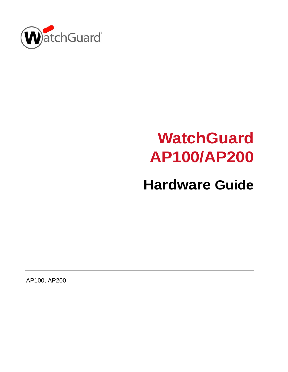

# **WatchGuard AP100/AP200**

# **Hardware Guide**

AP100, AP200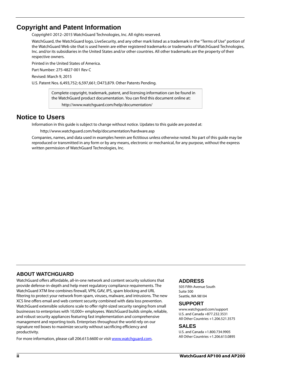#### **Copyright and Patent Information**

Copyright© 2012–2015 WatchGuard Technologies, Inc. All rights reserved.

WatchGuard, the WatchGuard logo, LiveSecurity, and any other mark listed as a trademark in the "Terms of Use" portion of the WatchGuard Web site that is used herein are either registered trademarks or trademarks of WatchGuard Technologies, Inc. and/or its subsidiaries in the United States and/or other countries. All other trademarks are the property of their respective owners.

Printed in the United States of America.

Part Number: 275-4827-001 Rev C

Revised: March 9, 2015

U.S. Patent Nos. 6,493,752; 6,597,661; D473,879. Other Patents Pending.

Complete copyright, trademark, patent, and licensing information can be found in the WatchGuard product documentation. You can find this document online at: <http://www.watchguard.com/help/documentation/>

#### **Notice to Users**

Information in this guide is subject to change without notice. Updates to this guide are posted at:

<http://www.watchguard.com/help/documentation/hardware.asp>

Companies, names, and data used in examples herein are fictitious unless otherwise noted. No part of this guide may be reproduced or transmitted in any form or by any means, electronic or mechanical, for any purpose, without the express written permission of WatchGuard Technologies, Inc.

#### **ABOUT WATCHGUARD**

WatchGuard offers affordable, all-in-one network and content security solutions that provide defense-in-depth and help meet regulatory compliance requirements. The WatchGuard XTM line combines firewall, VPN, GAV, IPS, spam blocking and URL filtering to protect your network from spam, viruses, malware, and intrusions. The new XCS line offers email and web content security combined with data loss prevention. WatchGuard extensible solutions scale to offer right-sized security ranging from small businesses to enterprises with 10,000+ employees. WatchGuard builds simple, reliable, and robust security appliances featuring fast implementation and comprehensive management and reporting tools. Enterprises throughout the world rely on our signature red boxes to maximize security without sacrificing efficiency and productivity.

For more information, please call 206.613.6600 or visit www.watchguard.com.

#### **ADDRESS**

505 Fifth Avenue South Suite 500 Seattle, WA 98104

#### **SUPPORT**

www.watchguard.com/support U.S. and Canada +877.232.3531 All Other Countries +1.206.521.3575

#### **SALES**

U.S. and Canada +1.800.734.9905 All Other Countries +1.206.613.0895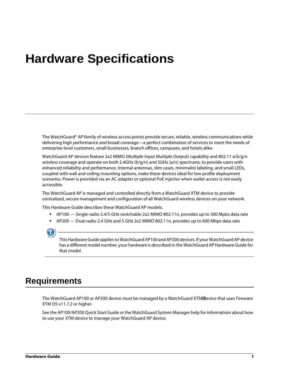# **Hardware Specifications**

The WatchGuard® AP family of wireless access points provide secure, reliable, wireless communications while delivering high performance and broad coverage—a perfect combination of services to meet the needs of enterprise-level customers, small businesses, branch offices, campuses, and hotels alike.

WatchGuard AP devices feature 2x2 MIMO (Multiple Input Multiple Output) capability and 802.11 a/b/g/n wireless coverage and operate on both 2.4GHz (b/g/n) and 5GHz (a/n) spectrums, to provide users with enhanced reliability and performance. Internal antennas, slim cases, minimalist labeling, and small LEDs, coupled with wall and ceiling mounting options, make these devices ideal for low profile deployment scenarios. Power is provided via an AC adapter or optional PoE injector when outlet access is not easily accessible.

The WatchGuard AP is managed and controlled directly from a WatchGuard XTM device to provide centralized, secure management and configuration of all WatchGuard wireless devices on your network.

This Hardware Guide describes these WatchGuard AP models:

- AP100 Single-radio 2.4/5 GHz switchable 2x2 MIMO 802.11n, provides up to 300 Mpbs data rate
- AP200 Dual-radio 2.4 GHz and 5 GHz 2x2 MIMO 802.11n, provides up to 600 Mbps data rate

This Hardware Guide applies to WatchGuard AP100 and AP200 devices. If your WatchGuard AP device has a different model number, your hardware is described in the WatchGuard AP Hardware Guide for that model.

### **Requirements**

The WatchGuard AP100 or AP200 device must be managed by a WatchGuard XTM device that uses Fireware XTM OS v11.7.2 or higher.

See the AP100/AP200 Quick Start Guide or the WatchGuard System Manager help for informatioin about how to use your XTM device to manage your WatchGuard AP device.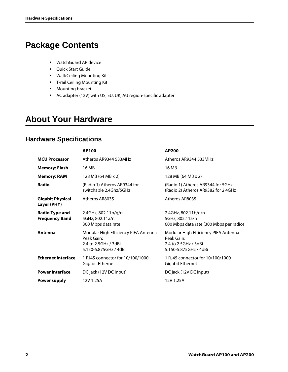# **Package Contents**

- WatchGuard AP device
- **•** Quick Start Guide
- Wall/Ceiling Mounting Kit
- **T-rail Ceiling Mounting Kit**
- **Mounting bracket**
- AC adapter (12V) with US, EU, UK, AU region-specific adapter

# **About Your Hardware**

#### **Hardware Specifications**

|                                                | <b>AP100</b>                                                                                        | AP200                                                                                               |
|------------------------------------------------|-----------------------------------------------------------------------------------------------------|-----------------------------------------------------------------------------------------------------|
| <b>MCU Processor</b>                           | Atheros AR9344 533MHz                                                                               | Atheros AR9344 533MHz                                                                               |
| <b>Memory: Flash</b>                           | 16 MB                                                                                               | 16 MB                                                                                               |
| <b>Memory: RAM</b>                             | 128 MB (64 MB x 2)                                                                                  | 128 MB (64 MB x 2)                                                                                  |
| Radio                                          | (Radio 1) Atheros AR9344 for<br>switchable 2.4Ghz/5GHz                                              | (Radio 1) Atheros AR9344 for 5GHz<br>(Radio 2) Atheros AR9382 for 2.4GHz                            |
| <b>Gigabit Physical</b><br>Layer (PHY)         | Atheros AR8035                                                                                      | Atheros AR8035                                                                                      |
| <b>Radio Type and</b><br><b>Frequency Band</b> | 2.4GHz, 802.11b/g/n<br>5GHz, 802.11a/n<br>300 Mbps data rate                                        | 2.4GHz, 802.11b/g/n<br>5GHz, 802.11a/n<br>600 Mbps data rate (300 Mbps per radio)                   |
| Antenna                                        | Modular High Efficiency PIFA Antenna<br>Peak Gain:<br>2.4 to 2.5GHz / 3dBi<br>5.150-5.875GHz / 4dBi | Modular High Efficiency PIFA Antenna<br>Peak Gain:<br>2.4 to 2.5GHz / 3dBi<br>5.150-5.875GHz / 4dBi |
| <b>Ethernet interface</b>                      | 1 RJ45 connector for 10/100/1000<br>Gigabit Ethernet                                                | 1 RJ45 connector for 10/100/1000<br>Gigabit Ethernet                                                |
| <b>Power Interface</b>                         | DC jack (12V DC input)                                                                              | DC jack (12V DC input)                                                                              |
| Power supply                                   | 12V 1.25A                                                                                           | 12V 1.25A                                                                                           |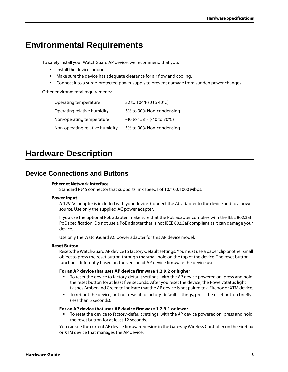# **Environmental Requirements**

To safely install your WatchGuard AP device, we recommend that you:

- Install the device indoors.
- Make sure the device has adequate clearance for air flow and cooling.
- **EX Connect it to a surge-protected power supply to prevent damage from sudden power changes**

Other environmental requirements:

| Operating temperature           | 32 to 104°F (0 to 40°C)    |
|---------------------------------|----------------------------|
| Operating relative humidity     | 5% to 90% Non-condensing   |
| Non-operating temperature       | -40 to 158°F (-40 to 70°C) |
| Non-operating relative humidity | 5% to 90% Non-condensing   |

# **Hardware Description**

#### **Device Connections and Buttons**

#### **Ethernet Network Interface**

Standard RJ45 connector that supports link speeds of 10/100/1000 Mbps.

#### **Power Input**

A 12V AC adapter is included with your device. Connect the AC adapter to the device and to a power source. Use only the supplied AC power adapter.

If you use the optional PoE adapter, make sure that the PoE adapter complies with the IEEE 802.3af PoE specification. Do not use a PoE adapter that is not IEEE 802.3af compliant as it can damage your device.

Use only the WatchGuard AC power adapter for this AP device model.

#### **Reset Button**

Resets the WatchGuard AP device to factory-default settings. You must use a paper clip or other small object to press the reset button through the small hole on the top of the device. The reset button functions differently based on the version of AP device firmware the device uses.

#### **For an AP device that uses AP device firmware 1.2.9.2 or higher**

- To reset the device to factory-default settings, with the AP device powered on, press and hold the reset button for at least five seconds. After you reset the device, the Power/Status light flashes Amber and Green to indicate that the AP device is not paired to a Firebox or XTM device.
- To reboot the device, but not reset it to factory-default settings, press the reset button briefly (less than 5 seconds).

#### **For an AP device that uses AP device firmware 1.2.9.1 or lower**

To reset the device to factory-default settings, with the AP device powered on, press and hold the reset button for at least 12 seconds.

You can see the current AP device firmware version in the Gateway Wireless Controller on the Firebox or XTM device that manages the AP device.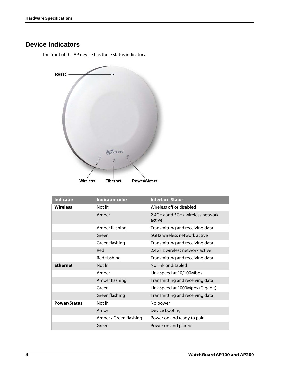#### **Device Indicators**

The front of the AP device has three status indicators.



| <b>Indicator</b>    | <b>Indicator color</b> | <b>Interface Status</b>                    |
|---------------------|------------------------|--------------------------------------------|
| <b>Wireless</b>     | Not lit                | Wireless off or disabled                   |
|                     | Amber                  | 2.4GHz and 5GHz wireless network<br>active |
|                     | Amber flashing         | Transmitting and receiving data            |
|                     | Green                  | 5GHz wireless network active               |
|                     | Green flashing         | Transmitting and receiving data            |
|                     | Red                    | 2.4GHz wireless network active             |
|                     | Red flashing           | Transmitting and receiving data            |
| <b>Ethernet</b>     | Not lit                | No link or disabled                        |
|                     | Amber                  | Link speed at 10/100Mbps                   |
|                     | Amber flashing         | Transmitting and receiving data            |
|                     | Green                  | Link speed at 1000Mpbs (Gigabit)           |
|                     | Green flashing         | Transmitting and receiving data            |
| <b>Power/Status</b> | Not lit                | No power                                   |
|                     | Amber                  | Device booting                             |
|                     | Amber / Green flashing | Power on and ready to pair                 |
|                     | Green                  | Power on and paired                        |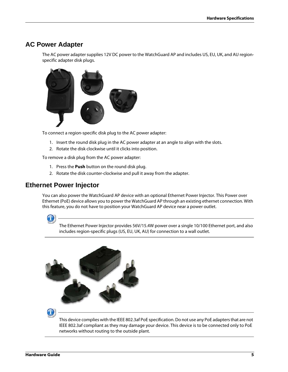#### **AC Power Adapter**

The AC power adapter supplies 12V DC power to the WatchGuard AP and includes US, EU, UK, and AU regionspecific adapter disk plugs.



To connect a region-specific disk plug to the AC power adapter:

- 1. Insert the round disk plug in the AC power adapter at an angle to align with the slots.
- 2. Rotate the disk clockwise until it clicks into position.

To remove a disk plug from the AC power adapter:

- 1. Press the **Push** button on the round disk plug.
- 2. Rotate the disk counter-clockwise and pull it away from the adapter.

#### **Ethernet Power Injector**

You can also power the WatchGuard AP device with an optional Ethernet Power Injector. This Power over Ethernet (PoE) device allows you to power the WatchGuard AP through an existing ethernet connection. With this feature, you do not have to position your WatchGuard AP device near a power outlet.



The Ethernet Power Injector provides 56V/15.4W power over a single 10/100 Ethernet port, and also includes region-specific plugs (US, EU, UK, AU) for connection to a wall outlet.





This device complies with the IEEE 802.3af PoE specification. Do not use any PoE adapters that are not IEEE 802.3af compliant as they may damage your device. This device is to be connected only to PoE networks without routing to the outside plant.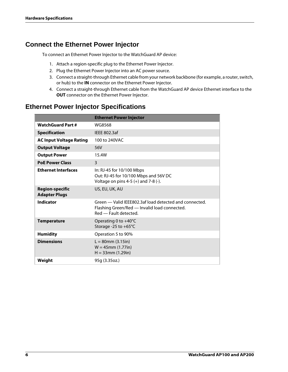#### **Connect the Ethernet Power Injector**

To connect an Ethernet Power Injector to the WatchGuard AP device:

- 1. Attach a region-specific plug to the Ethernet Power Injector.
- 2. Plug the Ethernet Power Injector into an AC power source.
- 3. Connect a straight-through Ethernet cable from your network backbone (for example, a router, switch, or hub) to the **IN** connector on the Ethernet Power Injector.
- 4. Connect a straight-through Ethernet cable from the WatchGuard AP device Ethernet interface to the **OUT** connector on the Ethernet Power Injector.

#### **Ethernet Power Injector Specifications**

|                                                | <b>Ethernet Power Injector</b>                                                                                                  |
|------------------------------------------------|---------------------------------------------------------------------------------------------------------------------------------|
| <b>WatchGuard Part#</b>                        | WG8568                                                                                                                          |
| <b>Specification</b>                           | <b>IEEE 802.3af</b>                                                                                                             |
| <b>AC Input Voltage Rating</b>                 | 100 to 240VAC                                                                                                                   |
| <b>Output Voltage</b>                          | 56V                                                                                                                             |
| <b>Output Power</b>                            | 15.4W                                                                                                                           |
| <b>PoE Power Class</b>                         | 3                                                                                                                               |
| <b>Ethernet Interfaces</b>                     | In: RJ-45 for 10/100 Mbps<br>Out: RJ-45 for 10/100 Mbps and 56V DC<br>Voltage on pins $4-5$ (+) and $7-8$ (-).                  |
| <b>Region-specific</b><br><b>Adapter Plugs</b> | US, EU, UK, AU                                                                                                                  |
| Indicator                                      | Green - Valid IEEE802.3af load detected and connected.<br>Flashing Green/Red - Invalid load connected.<br>Red - Fault detected. |
| <b>Temperature</b>                             | Operating 0 to +40°C<br>Storage -25 to +65°C                                                                                    |
| <b>Humidity</b>                                | Operation 5 to 90%                                                                                                              |
| <b>Dimensions</b>                              | $L = 80$ mm (3.15in)<br>$W = 45$ mm (1.77in)<br>$H = 33$ mm (1.29in)                                                            |
| Weight                                         | 95g (3.35oz.)                                                                                                                   |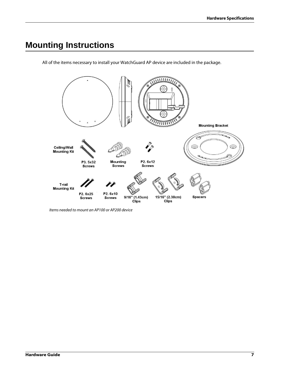# **Mounting Instructions**

All of the items necessary to install your WatchGuard AP device are included in the package.



Items needed to mount an AP100 or AP200 device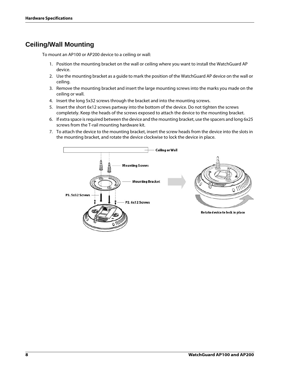### **Ceiling/Wall Mounting**

To mount an AP100 or AP200 device to a ceiling or wall:

- 1. Position the mounting bracket on the wall or ceiling where you want to install the WatchGuard AP device.
- 2. Use the mounting bracket as a guide to mark the position of the WatchGuard AP device on the wall or ceiling.
- 3. Remove the mounting bracket and insert the large mounting screws into the marks you made on the ceiling or wall.
- 4. Insert the long 5x32 screws through the bracket and into the mounting screws.
- 5. Insert the short 6x12 screws partway into the bottom of the device. Do not tighten the screws completely. Keep the heads of the screws exposed to attach the device to the mounting bracket.
- 6. If extra space is required between the device and the mounting bracket, use the spacers and long 6x25 screws from the T-rail mounting hardware kit.
- 7. To attach the device to the mounting bracket, insert the screw heads from the device into the slots in the mounting bracket, and rotate the device clockwise to lock the device in place.

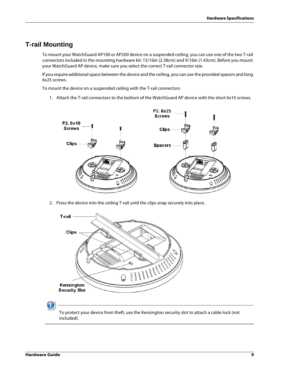#### **T-rail Mounting**

To mount your WatchGuard AP100 or AP200 device on a suspended ceiling, you can use one of the two T-rail connectors included in the mounting hardware kit: 15/16in (2.38cm) and 9/16in (1.43cm). Before you mount your WatchGuard AP device, make sure you select the correct T-rail connector size.

If you require additional space between the device and the ceiling, you can use the provided spacers and long 6x25 screws.

To mount the device on a suspended ceiling with the T-rail connectors:

1. Attach the T-rail connectors to the bottom of the WatchGuard AP device with the short 6x10 screws.



2. Press the device into the ceiling T-rail until the clips snap securely into place.

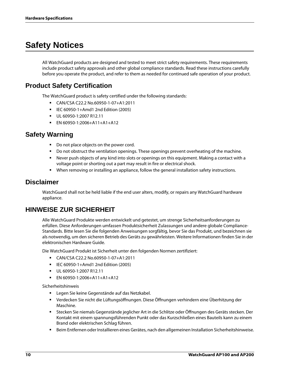# **Safety Notices**

All WatchGuard products are designed and tested to meet strict safety requirements. These requirements include product safety approvals and other global compliance standards. Read these instructions carefully before you operate the product, and refer to them as needed for continued safe operation of your product.

#### **Product Safety Certification**

The WatchGuard product is safety certified under the following standards:

- CAN/CSA C22.2 No.60950-1-07+A1:2011
- IEC 60950-1+Amd1 2nd Edition (2005)
- UL 60950-1:2007 R12.11
- EN 60950-1:2006+A11+A1+A12

#### **Safety Warning**

- Do not place objects on the power cord.
- Do not obstruct the ventilation openings. These openings prevent overheating of the machine.
- Never push objects of any kind into slots or openings on this equipment. Making a contact with a voltage point or shorting out a part may result in fire or electrical shock.
- When removing or installing an appliance, follow the general installation safety instructions.

#### **Disclaimer**

WatchGuard shall not be held liable if the end user alters, modify, or repairs any WatchGuard hardware appliance.

#### **HINWEISE ZUR SICHERHEIT**

Alle WatchGuard Produkte werden entwickelt und getestet, um strenge Sicherheitsanforderungen zu erfüllen. Diese Anforderungen umfassen Produktsicherheit Zulassungen und andere globale Compliance-Standards. Bitte lesen Sie die folgenden Anweisungen sorgfältig, bevor Sie das Produkt, und bezeichnen sie als notwendig, um den sicheren Betrieb des Geräts zu gewährleisten. Weitere Informationen finden Sie in der elektronischen Hardware Guide.

Die WatchGuard Produkt ist Sicherheit unter den folgenden Normen zertifiziert:

- CAN/CSA C22.2 No.60950-1-07+A1:2011
- IEC 60950-1+Amd1 2nd Edition (2005)
- UL 60950-1:2007 R12.11
- EN 60950-1:2006+A11+A1+A12

Sicherheitshinweis

- Legen Sie keine Gegenstände auf das Netzkabel.
- Verdecken Sie nicht die Lüftungsöffnungen. Diese Öffnungen verhindern eine Überhitzung der Maschine.
- Stecken Sie niemals Gegenstände jeglicher Art in die Schlitze oder Öffnungen des Geräts stecken. Der Kontakt mit einem spannungsführenden Punkt oder das Kurzschließen eines Bauteils kann zu einem Brand oder elektrischen Schlag führen.
- Beim Entfernen oder Installieren eines Gerätes, nach den allgemeinen Installation Sicherheitshinweise.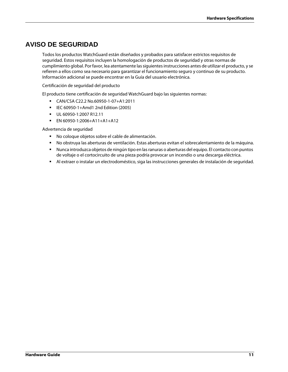#### **AVISO DE SEGURIDAD**

Todos los productos WatchGuard están diseñados y probados para satisfacer estrictos requisitos de seguridad. Estos requisitos incluyen la homologación de productos de seguridad y otras normas de cumplimiento global. Por favor, lea atentamente las siguientes instrucciones antes de utilizar el producto, y se refieren a ellos como sea necesario para garantizar el funcionamiento seguro y continuo de su producto. Información adicional se puede encontrar en la Guía del usuario electrónica.

Certificación de seguridad del producto

El producto tiene certificación de seguridad WatchGuard bajo las siguientes normas:

- CAN/CSA C22.2 No.60950-1-07+A1:2011
- IEC 60950-1+Amd1 2nd Edition (2005)
- UL 60950-1:2007 R12.11
- EN 60950-1:2006+A11+A1+A12

Advertencia de seguridad

- No coloque objetos sobre el cable de alimentación.
- No obstruya las aberturas de ventilación. Estas aberturas evitan el sobrecalentamiento de la máquina.
- Nunca introduzca objetos de ningún tipo en las ranuras o aberturas del equipo. El contacto con puntos de voltaje o el cortocircuito de una pieza podría provocar un incendio o una descarga eléctrica.
- Al extraer o instalar un electrodoméstico, siga las instrucciones generales de instalación de seguridad.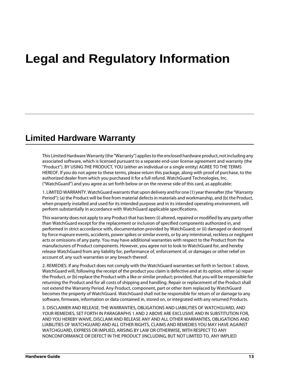# **Legal and Regulatory Information**

# **Limited Hardware Warranty**

This Limited Hardware Warranty (the "Warranty") applies to the enclosed hardware product, not including any associated software, which is licensed pursuant to a separate end-user license agreement and warranty (the "Product"). BY USING THE PRODUCT, YOU (either an individual or a single entity) AGREE TO THE TERMS HEREOF. If you do not agree to these terms, please return this package, along with proof of purchase, to the authorized dealer from which you purchased it for a full refund. WatchGuard Technologies, Inc. ("WatchGuard") and you agree as set forth below or on the reverse side of this card, as applicable:

1. LIMITED WARRANTY. WatchGuard warrants that upon delivery and for one (1) year thereafter (the "Warranty Period"): (a) the Product will be free from material defects in materials and workmanship, and (b) the Product, when properly installed and used for its intended purpose and in its intended operating environment, will perform substantially in accordance with WatchGuard applicable specifications.

This warranty does not apply to any Product that has been: (i) altered, repaired or modified by any party other than WatchGuard except for the replacement or inclusion of specified components authorized in, and performed in strict accordance with, documentation provided by WatchGuard; or (ii) damaged or destroyed by force majeure events, accidents, power spikes or similar events, or by any intentional, reckless or negligent acts or omissions of any party. You may have additional warranties with respect to the Product from the manufacturers of Product components. However, you agree not to look to WatchGuard for, and hereby release WatchGuard from any liability for, performance of, enforcement of, or damages or other relief on account of, any such warranties or any breach thereof.

2. REMEDIES. If any Product does not comply with the WatchGuard warranties set forth in Section 1 above, WatchGuard will, following the receipt of the product you claim is defective and at its option, either (a) repair the Product, or (b) replace the Product with a like or similar product; provided, that you will be responsible for returning the Product and for all costs of shipping and handling. Repair or replacement of the Product shall not extend the Warranty Period. Any Product, component, part or other item replaced by WatchGuard becomes the property of WatchGuard. WatchGuard shall not be responsible for return of or damage to any software, firmware, information or data contained in, stored on, or integrated with any returned Products.

3. DISCLAIMER AND RELEASE. THE WARRANTIES, OBLIGATIONS AND LIABILITIES OF WATCHGUARD, AND YOUR REMEDIES, SET FORTH IN PARAGRAPHS 1 AND 2 ABOVE ARE EXCLUSIVE AND IN SUBSTITUTION FOR, AND YOU HEREBY WAIVE, DISCLAIM AND RELEASE ANY AND ALL OTHER WARRANTIES, OBLIGATIONS AND LIABILITIES OF WATCHGUARD AND ALL OTHER RIGHTS, CLAIMS AND REMEDIES YOU MAY HAVE AGAINST WATCHGUARD, EXPRESS OR IMPLIED, ARISING BY LAW OR OTHERWISE, WITH RESPECT TO ANY NONCONFORMANCE OR DEFECT IN THE PRODUCT (INCLUDING, BUT NOT LIMITED TO, ANY IMPLIED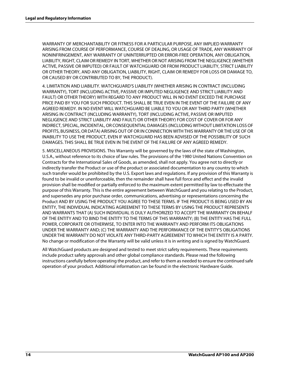WARRANTY OF MERCHANTABILITY OR FITNESS FOR A PARTICULAR PURPOSE, ANY IMPLIED WARRANTY ARISING FROM COURSE OF PERFORMANCE, COURSE OF DEALING, OR USAGE OF TRADE, ANY WARRANTY OF NONINFRINGEMENT, ANY WARRANTY OF UNINTERRUPTED OR ERROR-FREE OPERATION, ANY OBLIGATION, LIABILITY, RIGHT, CLAIM OR REMEDY IN TORT, WHETHER OR NOT ARISING FROM THE NEGLIGENCE (WHETHER ACTIVE, PASSIVE OR IMPUTED) OR FAULT OF WATCHGUARD OR FROM PRODUCT LIABILITY, STRICT LIABILITY OR OTHER THEORY, AND ANY OBLIGATION, LIABILITY, RIGHT, CLAIM OR REMEDY FOR LOSS OR DAMAGE TO, OR CAUSED BY OR CONTRIBUTED TO BY, THE PRODUCT).

4. LIMITATION AND LIABILITY. WATCHGUARD'S LIABILITY (WHETHER ARISING IN CONTRACT (INCLUDING WARRANTY), TORT (INCLUDING ACTIVE, PASSIVE OR IMPUTED NEGLIGENCE AND STRICT LIABILITY AND FAULT) OR OTHER THEORY) WITH REGARD TO ANY PRODUCT WILL IN NO EVENT EXCEED THE PURCHASE PRICE PAID BY YOU FOR SUCH PRODUCT. THIS SHALL BE TRUE EVEN IN THE EVENT OF THE FAILURE OF ANY AGREED REMEDY. IN NO EVENT WILL WATCHGUARD BE LIABLE TO YOU OR ANY THIRD PARTY (WHETHER ARISING IN CONTRACT (INCLUDING WARRANTY), TORT (INCLUDING ACTIVE, PASSIVE OR IMPUTED NEGLIGENCE AND STRICT LIABILITY AND FAULT) OR OTHER THEORY) FOR COST OF COVER OR FOR ANY INDIRECT, SPECIAL, INCIDENTAL, OR CONSEQUENTIAL DAMAGES (INCLUDING WITHOUT LIMITATION LOSS OF PROFITS, BUSINESS, OR DATA) ARISING OUT OF OR IN CONNECTION WITH THIS WARRANTY OR THE USE OF OR INABILITY TO USE THE PRODUCT, EVEN IF WATCHGUARD HAS BEEN ADVISED OF THE POSSIBILITY OF SUCH DAMAGES. THIS SHALL BE TRUE EVEN IN THE EVENT OF THE FAILURE OF ANY AGREED REMEDY.

5. MISCELLANEOUS PROVISIONS. This Warranty will be governed by the laws of the state of Washington, U.S.A., without reference to its choice of law rules. The provisions of the 1980 United Nations Convention on Contracts for the International Sales of Goods, as amended, shall not apply. You agree not to directly or indirectly transfer the Product or use of the product or associated documentation to any country to which such transfer would be prohibited by the U.S. Export laws and regulations. If any provision of this Warranty is found to be invalid or unenforceable, then the remainder shall have full force and effect and the invalid provision shall be modified or partially enforced to the maximum extent permitted by law to effectuate the purpose of this Warranty. This is the entire agreement between WatchGuard and you relating to the Product, and supersedes any prior purchase order, communications, advertising or representations concerning the Product AND BY USING THE PRODUCT YOU AGREE TO THESE TERMS. IF THE PRODUCT IS BEING USED BY AN ENTITY, THE INDIVIDUAL INDICATING AGREEMENT TO THESE TERMS BY USING THE PRODUCT REPRESENTS AND WARRANTS THAT (A) SUCH INDIVIDUAL IS DULY AUTHORIZED TO ACCEPT THE WARRANTY ON BEHALF OF THE ENTITY AND TO BIND THE ENTITY TO THE TERMS OF THIS WARRANTY; (B) THE ENTITY HAS THE FULL POWER, CORPORATE OR OTHERWISE, TO ENTER INTO THE WARRANTY AND PERFORM ITS OBLIGATIONS UNDER THE WARRANTY AND; (C) THE WARRANTY AND THE PERFORMANCE OF THE ENTITY'S OBLIGATIONS UNDER THE WARRANTY DO NOT VIOLATE ANY THIRD-PARTY AGREEMENT TO WHICH THE ENTITY IS A PARTY. No change or modification of the Warranty will be valid unless it is in writing and is signed by WatchGuard.

All WatchGuard products are designed and tested to meet strict safety requirements. These requirements include product safety approvals and other global compliance standards. Please read the following instructions carefully before operating the product, and refer to them as needed to ensure the continued safe operation of your product. Additional information can be found in the electronic Hardware Guide.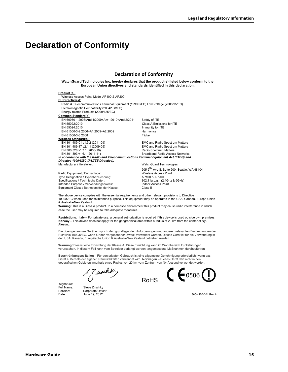### **Declaration of Conformity**

#### **Declaration of Conformity**

**WatchGuard Technologies Inc. hereby declares that the product(s) listed below conform to the European Union directives and standards identified in this declaration.**

#### **Product (s):**

Wireless Access Point, Model AP100 & AP200

**EU Directive(s):** Radio & Télécommunications Terminal Equipment (1999/5/EC) Low Voltage (2006/95/EC) Electromagnetic Compatibility (2004/108/EC) Energy-related Products (2009/125/EC) **Common Standard(s):** EN 60950-1:2006;Am11:2009+Am1:2010+Am12:2011 Safety of ITE EN 55022:2010 Class A Emissions for ITE EN 61000-3-2:2006+A1:2009+A2:2009<br>EN 61000-3-3:2008 Flicker

**Wireless Standard(s):**<br>EN 301 489-01 v1.9.2 (2011-09)

EN 300 328 v1.7.1 (2006-10)<br>EN 301 893 v1.6.1 (2011-11) *In accordance with the Radio and Telecommunications Terminal Equipment Act (FTEG) and Directive 1999/5/EC (R&TTE Directive).*

EN 61000-3-3:2008

Radio Equipment / Funkanlage: Type Designation / Typenbezeichnung: <br>
Specifications / Technische Daten: <br>
802.11a,b,g,n (2.4Ghz & 5GHz) Specifications / Technische Daten: Intended Purpose / Verwendungszweck: Indoor Access Point Equipment Class / Betriebsmittel der Klasse: Class II

Immunity for ITE<br>Harmonics

EMC and Radio Spectrum Matters<br>
EMC and Radio Spectrum Matters<br>
EMC and Radio Spectrum Matters EMC and Radio Spectrum Matters<br>Radio Spectrum Matters Broadband Radio Access Networks

Manufacturer / Hersteller: WatchGuard Technologies

505 5<sup>th</sup> Ave S. Suite 500, Seattle, WA 98104<br>Wireless Access Point

The above device complies with the essential requirements and other relevant provisions to Directive 1999/5/EC when used for its intended purpose. This equipment may be operated in the USA, Canada, Europe Union & Australia-New Zealand.

**Warning!** This is a Class A product. In a domestic environment this product may cause radio interference in which case the user may be required to take adequate measures.

**Restrictions**: **Italy** – For private use, a general authorization is required if this device is used outside own premises. **Norway** – This device does not apply for the geographical area within a radius of 20 km from the center of Ny-Alesund.

Die oben genannten Gerät entspricht den grundlegenden Anforderungen und anderen relevanten Bestimmungen der Richtlinie 1999/5/EG, wenn für den vorgesehenen Zweck verwendet werden. Dieses Gerät ist für die Verwendung in den USA, Kanada, Europäische Union & Australia-New Zealand betrieben werden.

**Warnung!** Dies ist eine Einrichtung der Klasse A. Diese Einrichtung kann im Wohnbereich Funkstörungen verursachen. In diesem Fall kann vom Betreiber verlangt werden, angemessene Maßnahmen durchzuführen

**Beschränkungen: Italien** – Für den privaten Gebrauch ist eine allgemeine Genehmigung erforderlich, wenn das Gerät außerhalb der eigenen Räumlichkeiten verwendet wird. **Norwegen** – Dieses Gerät darf nicht in den geografischen Gebieten innerhalb eines Radius von 20 km vom Zentrum von Ny-Ålesund verwendet werden.

wicht

Signature:<br>Full Name:

Full Name: Steve Zirschky<br>Position: Corporate Offic Corporate Officer Date: June 19, 2012 366-4250-001 Rev A

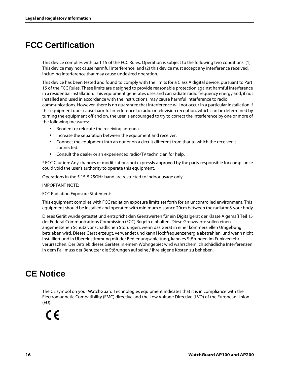# **FCC Certification**

This device complies with part 15 of the FCC Rules. Operation is subject to the following two conditions: (1) This device may not cause harmful interference, and (2) this device must accept any interference received, including interference that may cause undesired operation.

This device has been tested and found to comply with the limits for a Class A digital device, pursuant to Part 15 of the FCC Rules. These limits are designed to provide reasonable protection against harmful interference in a residential installation. This equipment generates uses and can radiate radio frequency energy and, if not installed and used in accordance with the instructions, may cause harmful interference to radio communications. However, there is no guarantee that interference will not occur in a particular installation If this equipment does cause harmful interference to radio or television reception, which can be determined by turning the equipment off and on, the user is encouraged to try to correct the interference by one or more of the following measures:

- Reorient or relocate the receiving antenna.
- Increase the separation between the equipment and receiver.
- Connect the equipment into an outlet on a circuit different from that to which the receiver is connected.
- Consult the dealer or an experienced radio/TV technician for help.

\* FCC Caution: Any changes or modifications not expressly approved by the party responsible for compliance could void the user's authority to operate this equipment.

Operations in the 5.15-5.25GHz band are restricted to indoor usage only.

IMPORTANT NOTE:

FCC Radiation Exposure Statement:

This equipment complies with FCC radiation exposure limits set forth for an uncontrolled environment. This equipment should be installed and operated with minimum distance 20cm between the radiator & your body.

Dieses Gerät wurde getestet und entspricht den Grenzwerten für ein Digitalgerät der Klasse A gemäß Teil 15 der Federal Communications Commission (FCC) Regeln einhalten. Diese Grenzwerte sollen einen angemessenen Schutz vor schädlichen Störungen, wenn das Gerät in einer kommerziellen Umgebung betrieben wird. Dieses Gerät erzeugt, verwendet und kann Hochfrequenzenergie abstrahlen, und wenn nicht installiert und in Übereinstimmung mit der Bedienungsanleitung, kann es Störungen im Funkverkehr verursachen. Der Betrieb dieses Gerätes in einem Wohngebiet wird wahrscheinlich schädliche Interferenzen in dem Fall muss der Benutzer die Störungen auf seine / ihre eigene Kosten zu beheben.

## **CE Notice**

The CE symbol on your WatchGuard Technologies equipment indicates that it is in compliance with the Electromagnetic Compatibility (EMC) directive and the Low Voltage Directive (LVD) of the European Union (EU).

# $\epsilon$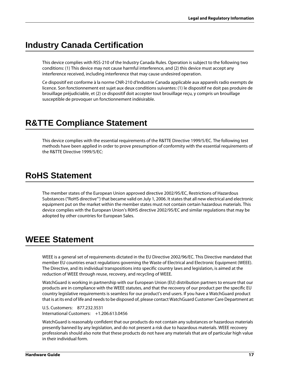# **Industry Canada Certification**

This device complies with RSS-210 of the Industry Canada Rules. Operation is subject to the following two conditions: (1) This device may not cause harmful interference, and (2) this device must accept any interference received, including interference that may cause undesired operation.

Ce dispositif est conforme à la norme CNR-210 d'Industrie Canada applicable aux appareils radio exempts de licence. Son fonctionnement est sujet aux deux conditions suivantes: (1) le dispositif ne doit pas produire de brouillage préjudiciable, et (2) ce dispositif doit accepter tout brouillage reçu, y compris un brouillage susceptible de provoquer un fonctionnement indésirable.

# **R&TTE Compliance Statement**

This device complies with the essential requirements of the R&TTE Directive 1999/5/EC. The following test methods have been applied in order to prove presumption of conformity with the essential requirements of the R&TTE Directive 1999/5/EC:

# **RoHS Statement**

The member states of the European Union approved directive 2002/95/EC, Restrictions of Hazardous Substances ("RoHS directive"') that became valid on July 1, 2006. It states that all new electrical and electronic equipment put on the market within the member states must not contain certain hazardous materials. This device complies with the European Union's R0HS directive 2002/95/EC and similar regulations that may be adopted by other countries for European Sales.

# **WEEE Statement**

WEEE is a general set of requirements dictated in the EU Directive 2002/96/EC. This Directive mandated that member EU countries enact regulations governing the Waste of Electrical and Electronic Equipment (WEEE). The Directive, and its individual transpositions into specific country laws and legislation, is aimed at the reduction of WEEE through reuse, recovery, and recycling of WEEE.

WatchGuard is working in partnership with our European Union (EU) distribution partners to ensure that our products are in compliance with the WEEE statutes, and that the recovery of our product per the specific EU country legislative requirements is seamless for our product's end users. If you have a WatchGuard product that is at its end of life and needs to be disposed of, please contact WatchGuard Customer Care Department at:

U.S. Customers: 877.232.3531 International Customers: +1.206.613.0456

WatchGuard is reasonably confident that our products do not contain any substances or hazardous materials presently banned by any legislation, and do not present a risk due to hazardous materials. WEEE recovery professionals should also note that these products do not have any materials that are of particular high value in their individual form.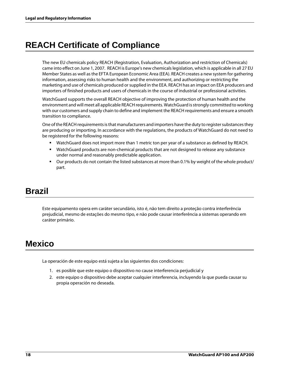# **REACH Certificate of Compliance**

The new EU chemicals policy REACH (Registration, Evaluation, Authorization and restriction of Chemicals) came into effect on June 1, 2007. REACH is Europe's new chemicals legislation, which is applicable in all 27 EU Member States as well as the EFTA European Economic Area (EEA). REACH creates a new system for gathering information, assessing risks to human health and the environment, and authorizing or restricting the marketing and use of chemicals produced or supplied in the EEA. REACH has an impact on EEA producers and importers of finished products and users of chemicals in the course of industrial or professional activities.

WatchGuard supports the overall REACH objective of improving the protection of human health and the environment and will meet all applicable REACH requirements. WatchGuard is strongly committed to working with our customers and supply chain to define and implement the REACH requirements and ensure a smooth transition to compliance.

One of the REACH requirements is that manufacturers and importers have the duty to register substances they are producing or importing. In accordance with the regulations, the products of WatchGuard do not need to be registered for the following reasons:

- WatchGuard does not import more than 1 metric ton per year of a substance as defined by REACH.
- WatchGuard products are non-chemical products that are not designed to release any substance under normal and reasonably predictable application.
- Our products do not contain the listed substances at more than 0.1% by weight of the whole product/ part.

## **Brazil**

Este equipamento opera em caráter secundário, isto é, não tem direito a proteção contra interferência prejudicial, mesmo de estações do mesmo tipo, e não pode causar interferência a sistemas operando em caráter primário.

## **Mexico**

La operación de este equipo está sujeta a las siguientes dos condiciones:

- 1. es posible que este equipo o dispositivo no cause interferencia perjudicial y
- 2. este equipo o dispositivo debe aceptar cualquier interferencia, incluyendo la que pueda causar su propia operación no deseada.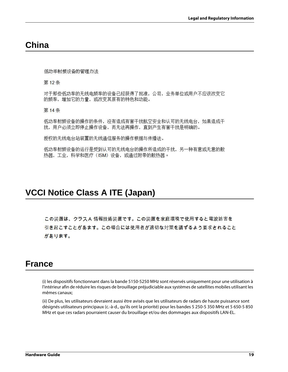### **China**

低功率射频设备的管理办法

第12条

对于那些低功率的无线电频率的设备已经获得了批准,公司,业务单位或用户不应该改变它 的频率,增加它的力量,或改变其原有的特色和功能。

第14条

低功率射频设备的操作的条件,没有造成有害干扰航空安全和认可的无线电台,如果造成干 扰,用户必须立即停止操作设备,而无法再操作,直到产生有害于扰是明确的。

授权的无线电台站装置的无线通信服务的操作根据与传播法。

低功率射频设备的运行是受到认可的无线电台的操作所造成的干扰,另一种有意或无意的散 热器,工业,科学和医疗(ISM)设备,或通过附带的散热器。

## **VCCI Notice Class A ITE (Japan)**

この装置は、クラスA 情報技術装置です。この装置を家庭環境で使用すると電波妨害を 引き起こすことがあます。この場合には使用者が適切な対策を講ずるよう要求されること があります。

#### **France**

(i) les dispositifs fonctionnant dans la bande 5150-5250 MHz sont réservés uniquement pour une utilisation à l'intérieur afin de réduire les risques de brouillage préjudiciable aux systèmes de satellites mobiles utilisant les mêmes canaux;

(ii) De plus, les utilisateurs devraient aussi être avisés que les utilisateurs de radars de haute puissance sont désignés utilisateurs principaux (c.-à-d., qu'ils ont la priorité) pour les bandes 5 250-5 350 MHz et 5 650-5 850 MHz et que ces radars pourraient causer du brouillage et/ou des dommages aux dispositifs LAN-EL.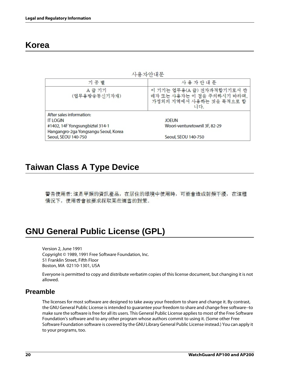## **Korea**

사용자안내문

| 기 종 별                                | 사용자안내문                                                                                      |  |
|--------------------------------------|---------------------------------------------------------------------------------------------|--|
| A 급 기기<br>(업무용방송통신기자재)               | 이 기기는 업무용(A 급) 전자파적합기기로서 판<br>매자 또는 사용자는 이 점을 주의하시기 바라며,<br>가정외의 지역에서 사용하는 것을 목적으로 합<br>니다. |  |
| After sales information:             |                                                                                             |  |
| <b>IT LOGIN</b>                      | JOEUN                                                                                       |  |
| #1402, 14F Yongsungbiztel 314-1      | Woori-venturetownll 3F, 82-29                                                               |  |
| Hangangro-2ga Yongsangu Seoul, Korea |                                                                                             |  |
| Seoul, SEOU 140-750                  | Seoul, SEOU 140-750                                                                         |  |

## **Taiwan Class A Type Device**

警告使用者: 這是甲類的資訊產品, 在居住的環境中使用時, 可能會造成射頻干擾, 在這種 情況下, 使用者會被要求採取某些適當的對策。

# **GNU General Public License (GPL)**

Version 2, June 1991 Copyright © 1989, 1991 Free Software Foundation, Inc. 51 Franklin Street, Fifth Floor Boston, MA 02110-1301, USA

Everyone is permitted to copy and distribute verbatim copies of this license document, but changing it is not allowed.

#### **Preamble**

The licenses for most software are designed to take away your freedom to share and change it. By contrast, the GNU General Public License is intended to guarantee your freedom to share and change free software--to make sure the software is free for all its users. This General Public License applies to most of the Free Software Foundation's software and to any other program whose authors commit to using it. (Some other Free Software Foundation software is covered by the GNU Library General Public License instead.) You can apply it to your programs, too.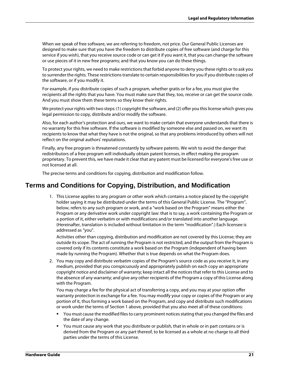When we speak of free software, we are referring to freedom, not price. Our General Public Licenses are designed to make sure that you have the freedom to distribute copies of free software (and charge for this service if you wish), that you receive source code or can get it if you want it, that you can change the software or use pieces of it in new free programs; and that you know you can do these things.

To protect your rights, we need to make restrictions that forbid anyone to deny you these rights or to ask you to surrender the rights. These restrictions translate to certain responsibilities for you if you distribute copies of the software, or if you modify it.

For example, if you distribute copies of such a program, whether gratis or for a fee, you must give the recipients all the rights that you have. You must make sure that they, too, receive or can get the source code. And you must show them these terms so they know their rights.

We protect your rights with two steps: (1) copyright the software, and (2) offer you this license which gives you legal permission to copy, distribute and/or modify the software.

Also, for each author's protection and ours, we want to make certain that everyone understands that there is no warranty for this free software. If the software is modified by someone else and passed on, we want its recipients to know that what they have is not the original, so that any problems introduced by others will not reflect on the original authors' reputations.

Finally, any free program is threatened constantly by software patents. We wish to avoid the danger that redistributors of a free program will individually obtain patent licenses, in effect making the program proprietary. To prevent this, we have made it clear that any patent must be licensed for everyone's free use or not licensed at all.

The precise terms and conditions for copying, distribution and modification follow.

#### **Terms and Conditions for Copying, Distribution, and Modification**

1. This License applies to any program or other work which contains a notice placed by the copyright holder saying it may be distributed under the terms of this General Public License. The "Program", below, refers to any such program or work, and a "work based on the Program" means either the Program or any derivative work under copyright law: that is to say, a work containing the Program or a portion of it, either verbatim or with modifications and/or translated into another language. (Hereinafter, translation is included without limitation in the term "modification".) Each licensee is addressed as "you".

Activities other than copying, distribution and modification are not covered by this License; they are outside its scope. The act of running the Program is not restricted, and the output from the Program is covered only if its contents constitute a work based on the Program (independent of having been made by running the Program). Whether that is true depends on what the Program does.

2. You may copy and distribute verbatim copies of the Program's source code as you receive it, in any medium, provided that you conspicuously and appropriately publish on each copy an appropriate copyright notice and disclaimer of warranty; keep intact all the notices that refer to this License and to the absence of any warranty; and give any other recipients of the Program a copy of this License along with the Program.

You may charge a fee for the physical act of transferring a copy, and you may at your option offer warranty protection in exchange for a fee. You may modify your copy or copies of the Program or any portion of it, thus forming a work based on the Program, and copy and distribute such modifications or work under the terms of Section 1 above, provided that you also meet all of these conditions:

- **•** You must cause the modified files to carry prominent notices stating that you changed the files and the date of any change.
- You must cause any work that you distribute or publish, that in whole or in part contains or is derived from the Program or any part thereof, to be licensed as a whole at no charge to all third parties under the terms of this License.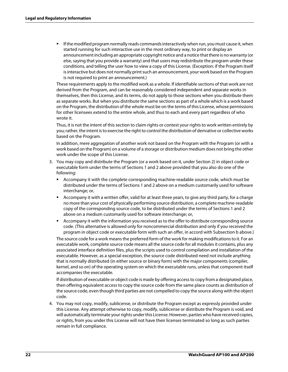If the modified program normally reads commands interactively when run, you must cause it, when started running for such interactive use in the most ordinary way, to print or display an announcement including an appropriate copyright notice and a notice that there is no warranty (or else, saying that you provide a warranty) and that users may redistribute the program under these conditions, and telling the user how to view a copy of this License. (Exception: if the Program itself is interactive but does not normally print such an announcement, your work based on the Program is not required to print an announcement.)

These requirements apply to the modified work as a whole. If identifiable sections of that work are not derived from the Program, and can be reasonably considered independent and separate works in themselves, then this License, and its terms, do not apply to those sections when you distribute them as separate works. But when you distribute the same sections as part of a whole which is a work based on the Program, the distribution of the whole must be on the terms of this License, whose permissions for other licensees extend to the entire whole, and thus to each and every part regardless of who wrote it.

Thus, it is not the intent of this section to claim rights or contest your rights to work written entirely by you; rather, the intent is to exercise the right to control the distribution of derivative or collective works based on the Program.

In addition, mere aggregation of another work not based on the Program with the Program (or with a work based on the Program) on a volume of a storage or distribution medium does not bring the other work under the scope of this License.

- 3. You may copy and distribute the Program (or a work based on it, under Section 2) in object code or executable form under the terms of Sections 1 and 2 above provided that you also do one of the following:
	- Accompany it with the complete corresponding machine-readable source code, which must be distributed under the terms of Sections 1 and 2 above on a medium customarily used for software interchange; or,
	- Accompany it with a written offer, valid for at least three years, to give any third party, for a charge no more than your cost of physically performing source distribution, a complete machine-readable copy of the corresponding source code, to be distributed under the terms of Sections 1 and 2 above on a medium customarily used for software interchange; or,
	- Accompany it with the information you received as to the offer to distribute corresponding source code. (This alternative is allowed only for noncommercial distribution and only if you received the program in object code or executable form with such an offer, in accord with Subsection b above.)

The source code for a work means the preferred form of the work for making modifications to it. For an executable work, complete source code means all the source code for all modules it contains, plus any associated interface definition files, plus the scripts used to control compilation and installation of the executable. However, as a special exception, the source code distributed need not include anything that is normally distributed (in either source or binary form) with the major components (compiler, kernel, and so on) of the operating system on which the executable runs, unless that component itself accompanies the executable.

If distribution of executable or object code is made by offering access to copy from a designated place, then offering equivalent access to copy the source code from the same place counts as distribution of the source code, even though third parties are not compelled to copy the source along with the object code.

4. You may not copy, modify, sublicense, or distribute the Program except as expressly provided under this License. Any attempt otherwise to copy, modify, sublicense or distribute the Program is void, and will automatically terminate your rights under this License. However, parties who have received copies, or rights, from you under this License will not have their licenses terminated so long as such parties remain in full compliance.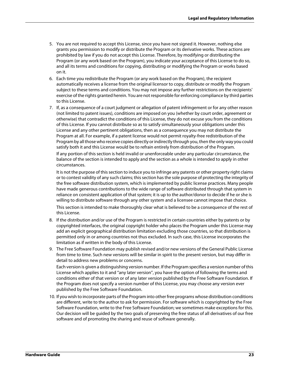- 5. You are not required to accept this License, since you have not signed it. However, nothing else grants you permission to modify or distribute the Program or its derivative works. These actions are prohibited by law if you do not accept this License. Therefore, by modifying or distributing the Program (or any work based on the Program), you indicate your acceptance of this License to do so, and all its terms and conditions for copying, distributing or modifying the Program or works based on it.
- 6. Each time you redistribute the Program (or any work based on the Program), the recipient automatically receives a license from the original licensor to copy, distribute or modify the Program subject to these terms and conditions. You may not impose any further restrictions on the recipients' exercise of the rights granted herein. You are not responsible for enforcing compliance by third parties to this License.
- 7. If, as a consequence of a court judgment or allegation of patent infringement or for any other reason (not limited to patent issues), conditions are imposed on you (whether by court order, agreement or otherwise) that contradict the conditions of this License, they do not excuse you from the conditions of this License. If you cannot distribute so as to satisfy simultaneously your obligations under this License and any other pertinent obligations, then as a consequence you may not distribute the Program at all. For example, if a patent license would not permit royalty-free redistribution of the Program by all those who receive copies directly or indirectly through you, then the only way you could satisfy both it and this License would be to refrain entirely from distribution of the Program.

If any portion of this section is held invalid or unenforceable under any particular circumstance, the balance of the section is intended to apply and the section as a whole is intended to apply in other circumstances.

It is not the purpose of this section to induce you to infringe any patents or other property right claims or to contest validity of any such claims; this section has the sole purpose of protecting the integrity of the free software distribution system, which is implemented by public license practices. Many people have made generous contributions to the wide range of software distributed through that system in reliance on consistent application of that system; it is up to the author/donor to decide if he or she is willing to distribute software through any other system and a licensee cannot impose that choice.

This section is intended to make thoroughly clear what is believed to be a consequence of the rest of this License.

- 8. If the distribution and/or use of the Program is restricted in certain countries either by patents or by copyrighted interfaces, the original copyright holder who places the Program under this License may add an explicit geographical distribution limitation excluding those countries, so that distribution is permitted only in or among countries not thus excluded. In such case, this License incorporates the limitation as if written in the body of this License.
- 9. The Free Software Foundation may publish revised and/or new versions of the General Public License from time to time. Such new versions will be similar in spirit to the present version, but may differ in detail to address new problems or concerns.

Each version is given a distinguishing version number. If the Program specifies a version number of this License which applies to it and "any later version", you have the option of following the terms and conditions either of that version or of any later version published by the Free Software Foundation. If the Program does not specify a version number of this License, you may choose any version ever published by the Free Software Foundation.

10. If you wish to incorporate parts of the Program into other free programs whose distribution conditions are different, write to the author to ask for permission. For software which is copyrighted by the Free Software Foundation, write to the Free Software Foundation; we sometimes make exceptions for this. Our decision will be guided by the two goals of preserving the free status of all derivatives of our free software and of promoting the sharing and reuse of software generally.